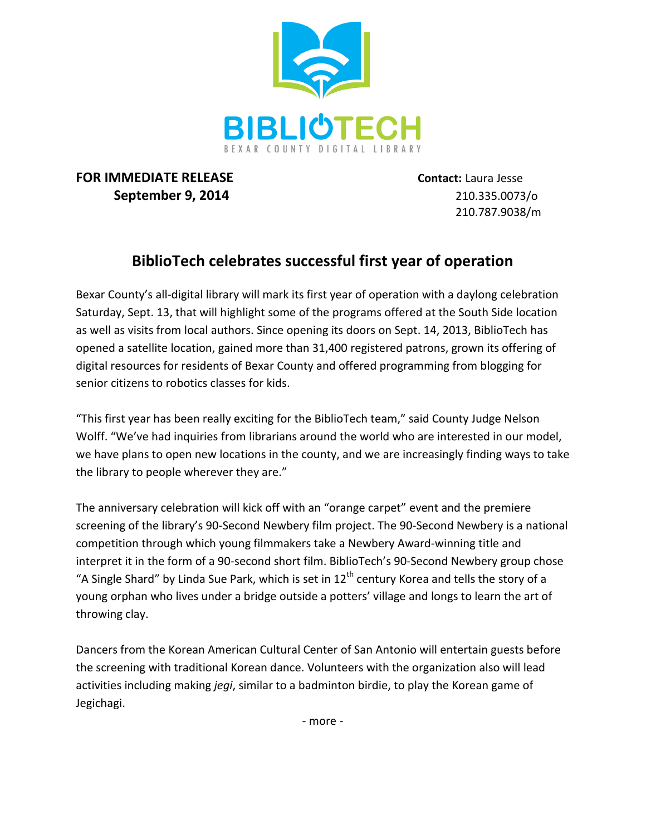

## **FOR IMMEDIATE RELEASE Contact:** Laura Jesse **September 9, 2014** 210.335.0073/o

210.787.9038/m

## **BiblioTech celebrates successful first year of operation**

Bexar County's all-digital library will mark its first year of operation with a daylong celebration Saturday, Sept. 13, that will highlight some of the programs offered at the South Side location as well as visits from local authors. Since opening its doors on Sept. 14, 2013, BiblioTech has opened a satellite location, gained more than 31,400 registered patrons, grown its offering of digital resources for residents of Bexar County and offered programming from blogging for senior citizens to robotics classes for kids.

"This first year has been really exciting for the BiblioTech team," said County Judge Nelson Wolff. "We've had inquiries from librarians around the world who are interested in our model, we have plans to open new locations in the county, and we are increasingly finding ways to take the library to people wherever they are."

The anniversary celebration will kick off with an "orange carpet" event and the premiere screening of the library's 90-Second Newbery film project. The 90-Second Newbery is a national competition through which young filmmakers take a Newbery Award-winning title and interpret it in the form of a 90-second short film. BiblioTech's 90-Second Newbery group chose "A Single Shard" by Linda Sue Park, which is set in  $12<sup>th</sup>$  century Korea and tells the story of a young orphan who lives under a bridge outside a potters' village and longs to learn the art of throwing clay.

Dancers from the Korean American Cultural Center of San Antonio will entertain guests before the screening with traditional Korean dance. Volunteers with the organization also will lead activities including making *jegi*, similar to a badminton birdie, to play the Korean game of Jegichagi.

- more -